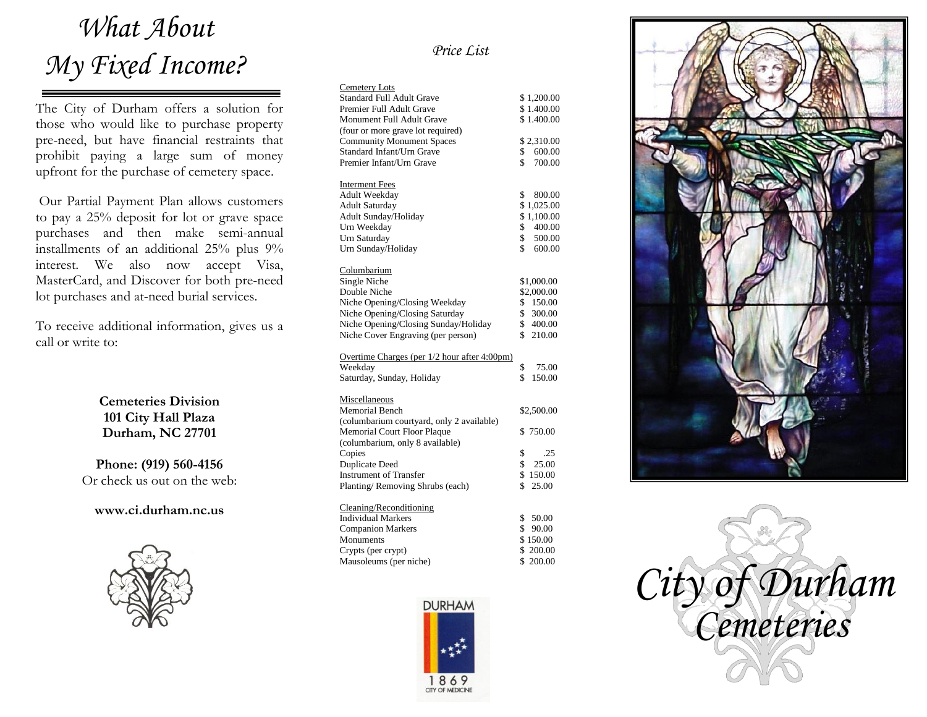# *What About My Fixed Income?*

The City of Durham offers a solution for those who would like to purchase property pre-need, but have financial restraints that prohibit paying a large sum of money upfront for the purchase of cemetery space.

Our Partial Payment Plan allows customers to pay a 25% deposit for lot or grave space purchases and then make semi-annual installments of an additional 25% plus 9% interest. We also now accept Visa, MasterCard, and Discover for both pre-need lot purchases and at-need burial services.

To receive additional information, gives us a call or write to:

> **Cemeteries Division 101 City Hall Plaza Durham, NC 27701**

**Phone: (919) 560-4156** Or check us out on the web:

**www.ci.durham.nc.us**



### *Price List*

| <b>Cemetery Lots</b>                         |              |
|----------------------------------------------|--------------|
| <b>Standard Full Adult Grave</b>             | \$1,200.00   |
| Premier Full Adult Grave                     | \$1.400.00   |
| Monument Full Adult Grave                    | \$1.400.00   |
| (four or more grave lot required)            |              |
| <b>Community Monument Spaces</b>             | \$2,310.00   |
| Standard Infant/Urn Grave                    | \$600.00     |
| Premier Infant/Urn Grave                     | \$<br>700.00 |
|                                              |              |
| <b>Interment Fees</b>                        |              |
| Adult Weekday                                | \$<br>800.00 |
| <b>Adult Saturday</b>                        | \$1,025.00   |
| Adult Sunday/Holiday                         | \$1,100.00   |
| Urn Weekday                                  | \$<br>400.00 |
| Urn Saturday                                 | \$<br>500.00 |
| Urn Sunday/Holiday                           | \$<br>600.00 |
|                                              |              |
| Columbarium                                  |              |
| Single Niche                                 | \$1,000.00   |
| Double Niche                                 | \$2,000.00   |
| Niche Opening/Closing Weekday                | \$150.00     |
| Niche Opening/Closing Saturday               | \$ 300.00    |
| Niche Opening/Closing Sunday/Holiday         | \$400.00     |
| Niche Cover Engraving (per person)           | \$ 210.00    |
|                                              |              |
| Overtime Charges (per 1/2 hour after 4:00pm) |              |
| Weekday                                      | \$<br>75.00  |
| Saturday, Sunday, Holiday                    | \$<br>150.00 |
|                                              |              |
| Miscellaneous                                |              |
| <b>Memorial Bench</b>                        | \$2,500.00   |
| (columbarium courtyard, only 2 available)    |              |
| Memorial Court Floor Plaque                  | \$750.00     |
| (columbarium, only 8 available)              |              |
| Copies                                       | \$<br>.25    |
| <b>Duplicate Deed</b>                        | \$<br>25.00  |
| <b>Instrument of Transfer</b>                | \$150.00     |
| Planting/Removing Shrubs (each)              | \$<br>25.00  |
|                                              |              |
| Cleaning/Reconditioning                      |              |
| <b>Individual Markers</b>                    | \$<br>50.00  |
| <b>Companion Markers</b>                     | \$<br>90.00  |
| Monuments                                    | \$150.00     |
| Crypts (per crypt)                           | \$200.00     |
| Mausoleums (per niche)                       | \$200.00     |